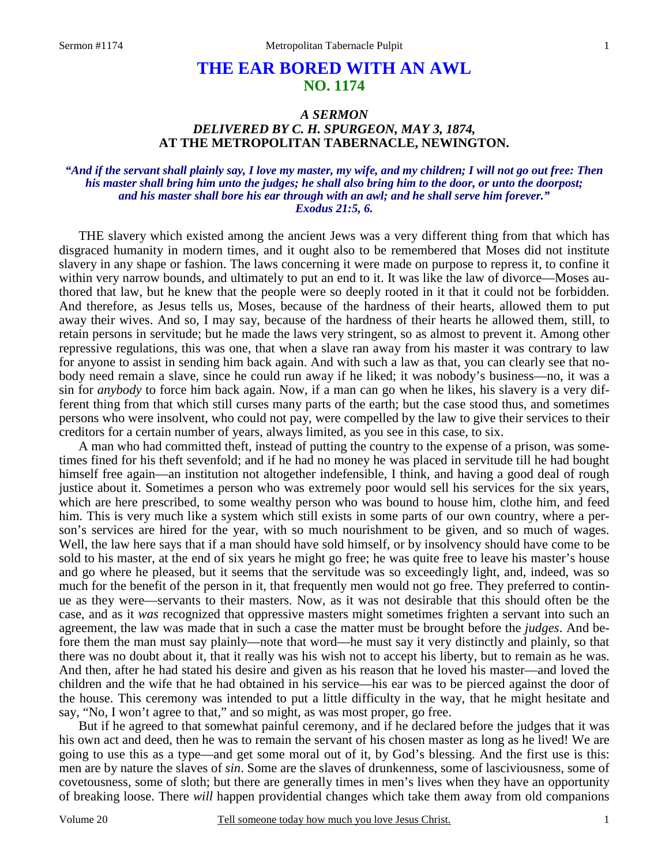# **THE EAR BORED WITH AN AWL NO. 1174**

## *A SERMON DELIVERED BY C. H. SPURGEON, MAY 3, 1874,*  **AT THE METROPOLITAN TABERNACLE, NEWINGTON.**

#### *"And if the servant shall plainly say, I love my master, my wife, and my children; I will not go out free: Then his master shall bring him unto the judges; he shall also bring him to the door, or unto the doorpost; and his master shall bore his ear through with an awl; and he shall serve him forever." Exodus 21:5, 6.*

THE slavery which existed among the ancient Jews was a very different thing from that which has disgraced humanity in modern times, and it ought also to be remembered that Moses did not institute slavery in any shape or fashion. The laws concerning it were made on purpose to repress it, to confine it within very narrow bounds, and ultimately to put an end to it. It was like the law of divorce—Moses authored that law, but he knew that the people were so deeply rooted in it that it could not be forbidden. And therefore, as Jesus tells us, Moses, because of the hardness of their hearts, allowed them to put away their wives. And so, I may say, because of the hardness of their hearts he allowed them, still, to retain persons in servitude; but he made the laws very stringent, so as almost to prevent it. Among other repressive regulations, this was one, that when a slave ran away from his master it was contrary to law for anyone to assist in sending him back again. And with such a law as that, you can clearly see that nobody need remain a slave, since he could run away if he liked; it was nobody's business—no, it was a sin for *anybody* to force him back again. Now, if a man can go when he likes, his slavery is a very different thing from that which still curses many parts of the earth; but the case stood thus, and sometimes persons who were insolvent, who could not pay, were compelled by the law to give their services to their creditors for a certain number of years, always limited, as you see in this case, to six.

A man who had committed theft, instead of putting the country to the expense of a prison, was sometimes fined for his theft sevenfold; and if he had no money he was placed in servitude till he had bought himself free again—an institution not altogether indefensible, I think, and having a good deal of rough justice about it. Sometimes a person who was extremely poor would sell his services for the six years, which are here prescribed, to some wealthy person who was bound to house him, clothe him, and feed him. This is very much like a system which still exists in some parts of our own country, where a person's services are hired for the year, with so much nourishment to be given, and so much of wages. Well, the law here says that if a man should have sold himself, or by insolvency should have come to be sold to his master, at the end of six years he might go free; he was quite free to leave his master's house and go where he pleased, but it seems that the servitude was so exceedingly light, and, indeed, was so much for the benefit of the person in it, that frequently men would not go free. They preferred to continue as they were—servants to their masters. Now, as it was not desirable that this should often be the case, and as it *was* recognized that oppressive masters might sometimes frighten a servant into such an agreement, the law was made that in such a case the matter must be brought before the *judges*. And before them the man must say plainly—note that word—he must say it very distinctly and plainly, so that there was no doubt about it, that it really was his wish not to accept his liberty, but to remain as he was. And then, after he had stated his desire and given as his reason that he loved his master—and loved the children and the wife that he had obtained in his service—his ear was to be pierced against the door of the house. This ceremony was intended to put a little difficulty in the way, that he might hesitate and say, "No, I won't agree to that," and so might, as was most proper, go free.

But if he agreed to that somewhat painful ceremony, and if he declared before the judges that it was his own act and deed, then he was to remain the servant of his chosen master as long as he lived! We are going to use this as a type—and get some moral out of it, by God's blessing. And the first use is this: men are by nature the slaves of *sin*. Some are the slaves of drunkenness, some of lasciviousness, some of covetousness, some of sloth; but there are generally times in men's lives when they have an opportunity of breaking loose. There *will* happen providential changes which take them away from old companions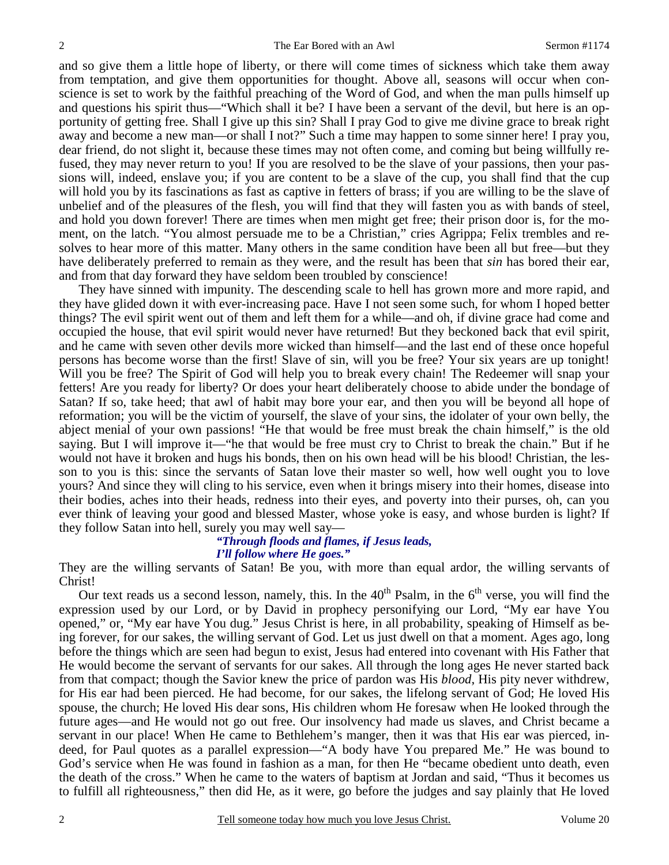and so give them a little hope of liberty, or there will come times of sickness which take them away from temptation, and give them opportunities for thought. Above all, seasons will occur when conscience is set to work by the faithful preaching of the Word of God, and when the man pulls himself up and questions his spirit thus—"Which shall it be? I have been a servant of the devil, but here is an opportunity of getting free. Shall I give up this sin? Shall I pray God to give me divine grace to break right away and become a new man—or shall I not?" Such a time may happen to some sinner here! I pray you, dear friend, do not slight it, because these times may not often come, and coming but being willfully refused, they may never return to you! If you are resolved to be the slave of your passions, then your passions will, indeed, enslave you; if you are content to be a slave of the cup, you shall find that the cup will hold you by its fascinations as fast as captive in fetters of brass; if you are willing to be the slave of unbelief and of the pleasures of the flesh, you will find that they will fasten you as with bands of steel, and hold you down forever! There are times when men might get free; their prison door is, for the moment, on the latch. "You almost persuade me to be a Christian," cries Agrippa; Felix trembles and resolves to hear more of this matter. Many others in the same condition have been all but free—but they have deliberately preferred to remain as they were, and the result has been that *sin* has bored their ear, and from that day forward they have seldom been troubled by conscience!

They have sinned with impunity. The descending scale to hell has grown more and more rapid, and they have glided down it with ever-increasing pace. Have I not seen some such, for whom I hoped better things? The evil spirit went out of them and left them for a while—and oh, if divine grace had come and occupied the house, that evil spirit would never have returned! But they beckoned back that evil spirit, and he came with seven other devils more wicked than himself—and the last end of these once hopeful persons has become worse than the first! Slave of sin, will you be free? Your six years are up tonight! Will you be free? The Spirit of God will help you to break every chain! The Redeemer will snap your fetters! Are you ready for liberty? Or does your heart deliberately choose to abide under the bondage of Satan? If so, take heed; that awl of habit may bore your ear, and then you will be beyond all hope of reformation; you will be the victim of yourself, the slave of your sins, the idolater of your own belly, the abject menial of your own passions! "He that would be free must break the chain himself," is the old saying. But I will improve it—"he that would be free must cry to Christ to break the chain." But if he would not have it broken and hugs his bonds, then on his own head will be his blood! Christian, the lesson to you is this: since the servants of Satan love their master so well, how well ought you to love yours? And since they will cling to his service, even when it brings misery into their homes, disease into their bodies, aches into their heads, redness into their eyes, and poverty into their purses, oh, can you ever think of leaving your good and blessed Master, whose yoke is easy, and whose burden is light? If they follow Satan into hell, surely you may well say—

# *"Through floods and flames, if Jesus leads,*

#### *I'll follow where He goes."*

They are the willing servants of Satan! Be you, with more than equal ardor, the willing servants of Christ!

Our text reads us a second lesson, namely, this. In the  $40<sup>th</sup>$  Psalm, in the  $6<sup>th</sup>$  verse, you will find the expression used by our Lord, or by David in prophecy personifying our Lord, "My ear have You opened," or, "My ear have You dug." Jesus Christ is here, in all probability, speaking of Himself as being forever, for our sakes, the willing servant of God. Let us just dwell on that a moment. Ages ago, long before the things which are seen had begun to exist, Jesus had entered into covenant with His Father that He would become the servant of servants for our sakes. All through the long ages He never started back from that compact; though the Savior knew the price of pardon was His *blood*, His pity never withdrew, for His ear had been pierced. He had become, for our sakes, the lifelong servant of God; He loved His spouse, the church; He loved His dear sons, His children whom He foresaw when He looked through the future ages—and He would not go out free. Our insolvency had made us slaves, and Christ became a servant in our place! When He came to Bethlehem's manger, then it was that His ear was pierced, indeed, for Paul quotes as a parallel expression—"A body have You prepared Me." He was bound to God's service when He was found in fashion as a man, for then He "became obedient unto death, even the death of the cross." When he came to the waters of baptism at Jordan and said, "Thus it becomes us to fulfill all righteousness," then did He, as it were, go before the judges and say plainly that He loved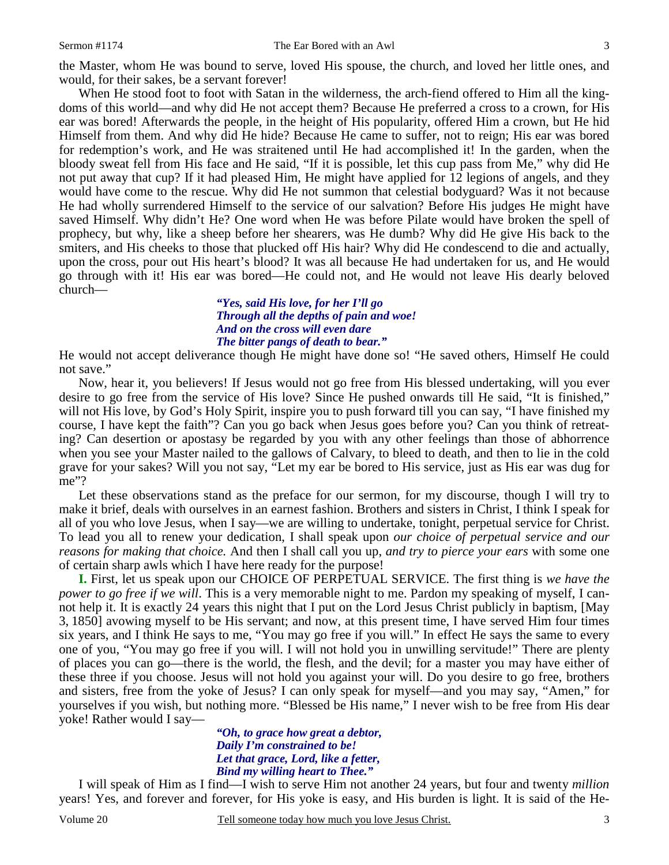the Master, whom He was bound to serve, loved His spouse, the church, and loved her little ones, and would, for their sakes, be a servant forever!

When He stood foot to foot with Satan in the wilderness, the arch-fiend offered to Him all the kingdoms of this world—and why did He not accept them? Because He preferred a cross to a crown, for His ear was bored! Afterwards the people, in the height of His popularity, offered Him a crown, but He hid Himself from them. And why did He hide? Because He came to suffer, not to reign; His ear was bored for redemption's work, and He was straitened until He had accomplished it! In the garden, when the bloody sweat fell from His face and He said, "If it is possible, let this cup pass from Me," why did He not put away that cup? If it had pleased Him, He might have applied for 12 legions of angels, and they would have come to the rescue. Why did He not summon that celestial bodyguard? Was it not because He had wholly surrendered Himself to the service of our salvation? Before His judges He might have saved Himself. Why didn't He? One word when He was before Pilate would have broken the spell of prophecy, but why, like a sheep before her shearers, was He dumb? Why did He give His back to the smiters, and His cheeks to those that plucked off His hair? Why did He condescend to die and actually, upon the cross, pour out His heart's blood? It was all because He had undertaken for us, and He would go through with it! His ear was bored—He could not, and He would not leave His dearly beloved church—

> *"Yes, said His love, for her I'll go Through all the depths of pain and woe! And on the cross will even dare The bitter pangs of death to bear."*

He would not accept deliverance though He might have done so! "He saved others, Himself He could not save."

Now, hear it, you believers! If Jesus would not go free from His blessed undertaking, will you ever desire to go free from the service of His love? Since He pushed onwards till He said, "It is finished," will not His love, by God's Holy Spirit, inspire you to push forward till you can say, "I have finished my course, I have kept the faith"? Can you go back when Jesus goes before you? Can you think of retreating? Can desertion or apostasy be regarded by you with any other feelings than those of abhorrence when you see your Master nailed to the gallows of Calvary, to bleed to death, and then to lie in the cold grave for your sakes? Will you not say, "Let my ear be bored to His service, just as His ear was dug for me"?

Let these observations stand as the preface for our sermon, for my discourse, though I will try to make it brief, deals with ourselves in an earnest fashion. Brothers and sisters in Christ, I think I speak for all of you who love Jesus, when I say—we are willing to undertake, tonight, perpetual service for Christ. To lead you all to renew your dedication, I shall speak upon *our choice of perpetual service and our reasons for making that choice.* And then I shall call you up, *and try to pierce your ears* with some one of certain sharp awls which I have here ready for the purpose!

**I.** First, let us speak upon our CHOICE OF PERPETUAL SERVICE. The first thing is *we have the power to go free if we will*. This is a very memorable night to me. Pardon my speaking of myself, I cannot help it. It is exactly 24 years this night that I put on the Lord Jesus Christ publicly in baptism, [May 3, 1850] avowing myself to be His servant; and now, at this present time, I have served Him four times six years, and I think He says to me, "You may go free if you will." In effect He says the same to every one of you, "You may go free if you will. I will not hold you in unwilling servitude!" There are plenty of places you can go—there is the world, the flesh, and the devil; for a master you may have either of these three if you choose. Jesus will not hold you against your will. Do you desire to go free, brothers and sisters, free from the yoke of Jesus? I can only speak for myself—and you may say, "Amen," for yourselves if you wish, but nothing more. "Blessed be His name," I never wish to be free from His dear yoke! Rather would I say—

*"Oh, to grace how great a debtor, Daily I'm constrained to be! Let that grace, Lord, like a fetter, Bind my willing heart to Thee."* 

 I will speak of Him as I find—I wish to serve Him not another 24 years, but four and twenty *million* years! Yes, and forever and forever, for His yoke is easy, and His burden is light. It is said of the He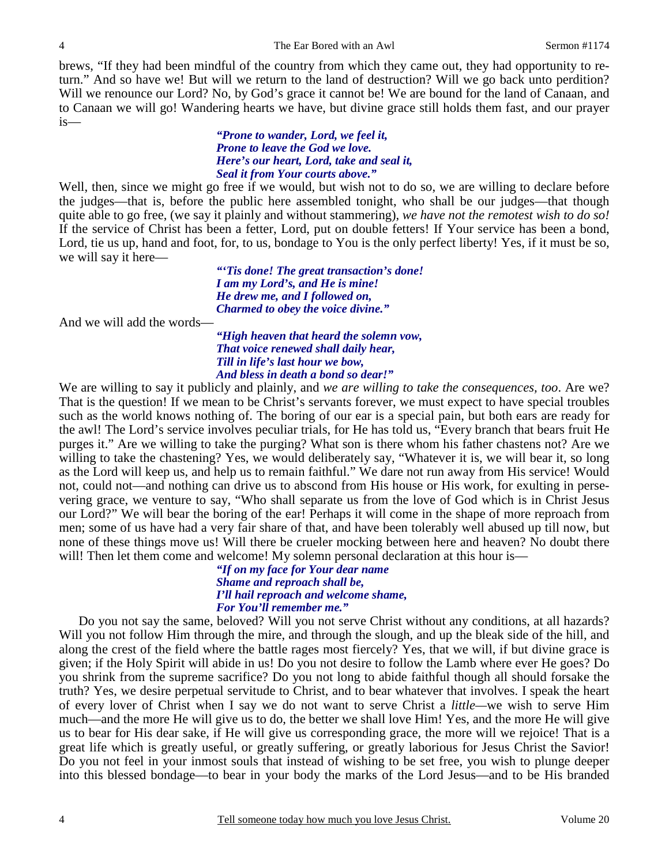brews, "If they had been mindful of the country from which they came out, they had opportunity to return." And so have we! But will we return to the land of destruction? Will we go back unto perdition? Will we renounce our Lord? No, by God's grace it cannot be! We are bound for the land of Canaan, and to Canaan we will go! Wandering hearts we have, but divine grace still holds them fast, and our prayer is—

> *"Prone to wander, Lord, we feel it, Prone to leave the God we love. Here's our heart, Lord, take and seal it, Seal it from Your courts above."*

Well, then, since we might go free if we would, but wish not to do so, we are willing to declare before the judges—that is, before the public here assembled tonight, who shall be our judges—that though quite able to go free, (we say it plainly and without stammering), *we have not the remotest wish to do so!* If the service of Christ has been a fetter, Lord, put on double fetters! If Your service has been a bond, Lord, tie us up, hand and foot, for, to us, bondage to You is the only perfect liberty! Yes, if it must be so, we will say it here—

> *"'Tis done! The great transaction's done! I am my Lord's, and He is mine! He drew me, and I followed on, Charmed to obey the voice divine."*

And we will add the words—

4

*"High heaven that heard the solemn vow, That voice renewed shall daily hear, Till in life's last hour we bow, And bless in death a bond so dear!"* 

We are willing to say it publicly and plainly, and *we are willing to take the consequences, too*. Are we? That is the question! If we mean to be Christ's servants forever, we must expect to have special troubles such as the world knows nothing of. The boring of our ear is a special pain, but both ears are ready for the awl! The Lord's service involves peculiar trials, for He has told us, "Every branch that bears fruit He purges it." Are we willing to take the purging? What son is there whom his father chastens not? Are we willing to take the chastening? Yes, we would deliberately say, "Whatever it is, we will bear it, so long as the Lord will keep us, and help us to remain faithful." We dare not run away from His service! Would not, could not—and nothing can drive us to abscond from His house or His work, for exulting in persevering grace, we venture to say, "Who shall separate us from the love of God which is in Christ Jesus our Lord?" We will bear the boring of the ear! Perhaps it will come in the shape of more reproach from men; some of us have had a very fair share of that, and have been tolerably well abused up till now, but none of these things move us! Will there be crueler mocking between here and heaven? No doubt there will! Then let them come and welcome! My solemn personal declaration at this hour is—

> *"If on my face for Your dear name Shame and reproach shall be, I'll hail reproach and welcome shame, For You'll remember me."*

 Do you not say the same, beloved? Will you not serve Christ without any conditions, at all hazards? Will you not follow Him through the mire, and through the slough, and up the bleak side of the hill, and along the crest of the field where the battle rages most fiercely? Yes, that we will, if but divine grace is given; if the Holy Spirit will abide in us! Do you not desire to follow the Lamb where ever He goes? Do you shrink from the supreme sacrifice? Do you not long to abide faithful though all should forsake the truth? Yes, we desire perpetual servitude to Christ, and to bear whatever that involves. I speak the heart of every lover of Christ when I say we do not want to serve Christ a *little—*we wish to serve Him much—and the more He will give us to do, the better we shall love Him! Yes, and the more He will give us to bear for His dear sake, if He will give us corresponding grace, the more will we rejoice! That is a great life which is greatly useful, or greatly suffering, or greatly laborious for Jesus Christ the Savior! Do you not feel in your inmost souls that instead of wishing to be set free, you wish to plunge deeper into this blessed bondage—to bear in your body the marks of the Lord Jesus—and to be His branded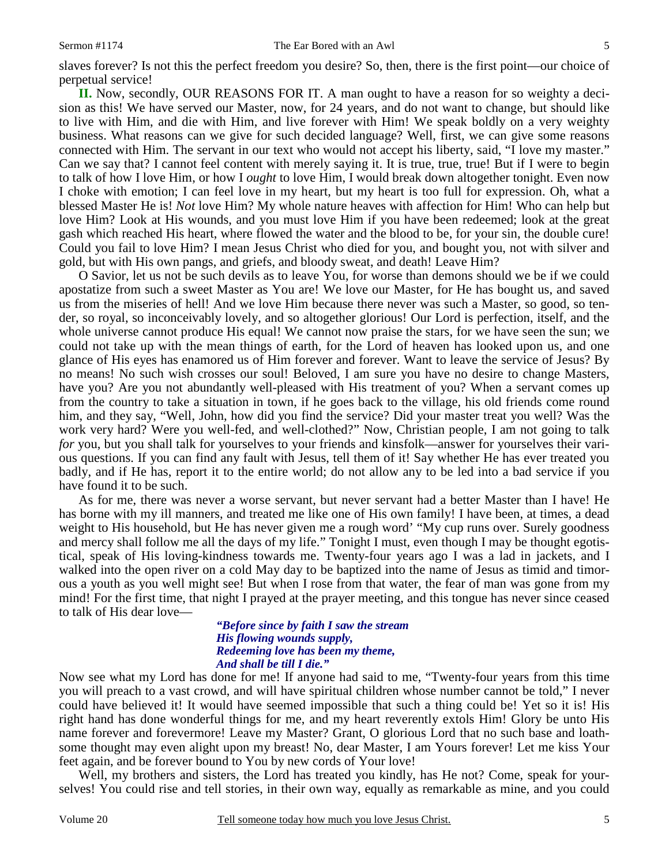slaves forever? Is not this the perfect freedom you desire? So, then, there is the first point—our choice of perpetual service!

**II.** Now, secondly, OUR REASONS FOR IT. A man ought to have a reason for so weighty a decision as this! We have served our Master, now, for 24 years, and do not want to change, but should like to live with Him, and die with Him, and live forever with Him! We speak boldly on a very weighty business. What reasons can we give for such decided language? Well, first, we can give some reasons connected with Him. The servant in our text who would not accept his liberty, said, "I love my master." Can we say that? I cannot feel content with merely saying it. It is true, true, true! But if I were to begin to talk of how I love Him, or how I *ought* to love Him, I would break down altogether tonight. Even now I choke with emotion; I can feel love in my heart, but my heart is too full for expression. Oh, what a blessed Master He is! *Not* love Him? My whole nature heaves with affection for Him! Who can help but love Him? Look at His wounds, and you must love Him if you have been redeemed; look at the great gash which reached His heart, where flowed the water and the blood to be, for your sin, the double cure! Could you fail to love Him? I mean Jesus Christ who died for you, and bought you, not with silver and gold, but with His own pangs, and griefs, and bloody sweat, and death! Leave Him?

O Savior, let us not be such devils as to leave You, for worse than demons should we be if we could apostatize from such a sweet Master as You are! We love our Master, for He has bought us, and saved us from the miseries of hell! And we love Him because there never was such a Master, so good, so tender, so royal, so inconceivably lovely, and so altogether glorious! Our Lord is perfection, itself, and the whole universe cannot produce His equal! We cannot now praise the stars, for we have seen the sun; we could not take up with the mean things of earth, for the Lord of heaven has looked upon us, and one glance of His eyes has enamored us of Him forever and forever. Want to leave the service of Jesus? By no means! No such wish crosses our soul! Beloved, I am sure you have no desire to change Masters, have you? Are you not abundantly well-pleased with His treatment of you? When a servant comes up from the country to take a situation in town, if he goes back to the village, his old friends come round him, and they say, "Well, John, how did you find the service? Did your master treat you well? Was the work very hard? Were you well-fed, and well-clothed?" Now, Christian people, I am not going to talk *for* you, but you shall talk for yourselves to your friends and kinsfolk—answer for yourselves their various questions. If you can find any fault with Jesus, tell them of it! Say whether He has ever treated you badly, and if He has, report it to the entire world; do not allow any to be led into a bad service if you have found it to be such.

As for me, there was never a worse servant, but never servant had a better Master than I have! He has borne with my ill manners, and treated me like one of His own family! I have been, at times, a dead weight to His household, but He has never given me a rough word' "My cup runs over. Surely goodness and mercy shall follow me all the days of my life." Tonight I must, even though I may be thought egotistical, speak of His loving-kindness towards me. Twenty-four years ago I was a lad in jackets, and I walked into the open river on a cold May day to be baptized into the name of Jesus as timid and timorous a youth as you well might see! But when I rose from that water, the fear of man was gone from my mind! For the first time, that night I prayed at the prayer meeting, and this tongue has never since ceased to talk of His dear love—

#### *"Before since by faith I saw the stream His flowing wounds supply, Redeeming love has been my theme, And shall be till I die."*

Now see what my Lord has done for me! If anyone had said to me, "Twenty-four years from this time you will preach to a vast crowd, and will have spiritual children whose number cannot be told," I never could have believed it! It would have seemed impossible that such a thing could be! Yet so it is! His right hand has done wonderful things for me, and my heart reverently extols Him! Glory be unto His name forever and forevermore! Leave my Master? Grant, O glorious Lord that no such base and loathsome thought may even alight upon my breast! No, dear Master, I am Yours forever! Let me kiss Your feet again, and be forever bound to You by new cords of Your love!

 Well, my brothers and sisters, the Lord has treated you kindly, has He not? Come, speak for yourselves! You could rise and tell stories, in their own way, equally as remarkable as mine, and you could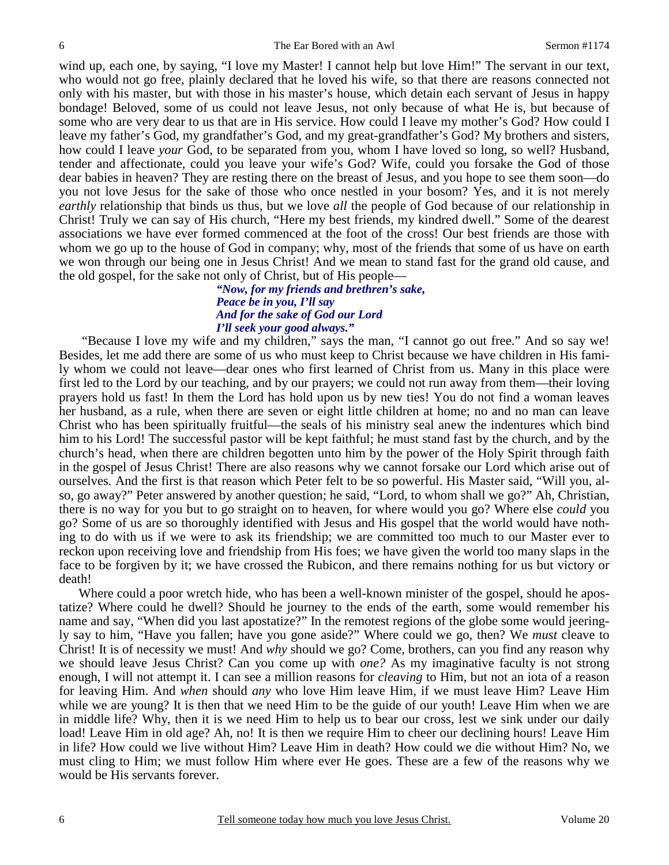wind up, each one, by saying, "I love my Master! I cannot help but love Him!" The servant in our text, who would not go free, plainly declared that he loved his wife, so that there are reasons connected not only with his master, but with those in his master's house, which detain each servant of Jesus in happy bondage! Beloved, some of us could not leave Jesus, not only because of what He is, but because of some who are very dear to us that are in His service. How could I leave my mother's God? How could I leave my father's God, my grandfather's God, and my great-grandfather's God? My brothers and sisters, how could I leave *your* God, to be separated from you, whom I have loved so long, so well? Husband, tender and affectionate, could you leave your wife's God? Wife, could you forsake the God of those dear babies in heaven? They are resting there on the breast of Jesus, and you hope to see them soon—do you not love Jesus for the sake of those who once nestled in your bosom? Yes, and it is not merely *earthly* relationship that binds us thus, but we love *all* the people of God because of our relationship in Christ! Truly we can say of His church, "Here my best friends, my kindred dwell." Some of the dearest associations we have ever formed commenced at the foot of the cross! Our best friends are those with whom we go up to the house of God in company; why, most of the friends that some of us have on earth we won through our being one in Jesus Christ! And we mean to stand fast for the grand old cause, and the old gospel, for the sake not only of Christ, but of His people—

#### *"Now, for my friends and brethren's sake, Peace be in you, I'll say And for the sake of God our Lord I'll seek your good always."*

"Because I love my wife and my children," says the man, "I cannot go out free." And so say we! Besides, let me add there are some of us who must keep to Christ because we have children in His family whom we could not leave—dear ones who first learned of Christ from us. Many in this place were first led to the Lord by our teaching, and by our prayers; we could not run away from them—their loving prayers hold us fast! In them the Lord has hold upon us by new ties! You do not find a woman leaves her husband, as a rule, when there are seven or eight little children at home; no and no man can leave Christ who has been spiritually fruitful—the seals of his ministry seal anew the indentures which bind him to his Lord! The successful pastor will be kept faithful; he must stand fast by the church, and by the church's head, when there are children begotten unto him by the power of the Holy Spirit through faith in the gospel of Jesus Christ! There are also reasons why we cannot forsake our Lord which arise out of ourselves. And the first is that reason which Peter felt to be so powerful. His Master said, "Will you, also, go away?" Peter answered by another question; he said, "Lord, to whom shall we go?" Ah, Christian, there is no way for you but to go straight on to heaven, for where would you go? Where else *could* you go? Some of us are so thoroughly identified with Jesus and His gospel that the world would have nothing to do with us if we were to ask its friendship; we are committed too much to our Master ever to reckon upon receiving love and friendship from His foes; we have given the world too many slaps in the face to be forgiven by it; we have crossed the Rubicon, and there remains nothing for us but victory or death!

Where could a poor wretch hide, who has been a well-known minister of the gospel, should he apostatize? Where could he dwell? Should he journey to the ends of the earth, some would remember his name and say, "When did you last apostatize?" In the remotest regions of the globe some would jeeringly say to him, "Have you fallen; have you gone aside?" Where could we go, then? We *must* cleave to Christ! It is of necessity we must! And *why* should we go? Come, brothers, can you find any reason why we should leave Jesus Christ? Can you come up with *one?* As my imaginative faculty is not strong enough, I will not attempt it. I can see a million reasons for *cleaving* to Him, but not an iota of a reason for leaving Him. And *when* should *any* who love Him leave Him, if we must leave Him? Leave Him while we are young? It is then that we need Him to be the guide of our youth! Leave Him when we are in middle life? Why, then it is we need Him to help us to bear our cross, lest we sink under our daily load! Leave Him in old age? Ah, no! It is then we require Him to cheer our declining hours! Leave Him in life? How could we live without Him? Leave Him in death? How could we die without Him? No, we must cling to Him; we must follow Him where ever He goes. These are a few of the reasons why we would be His servants forever.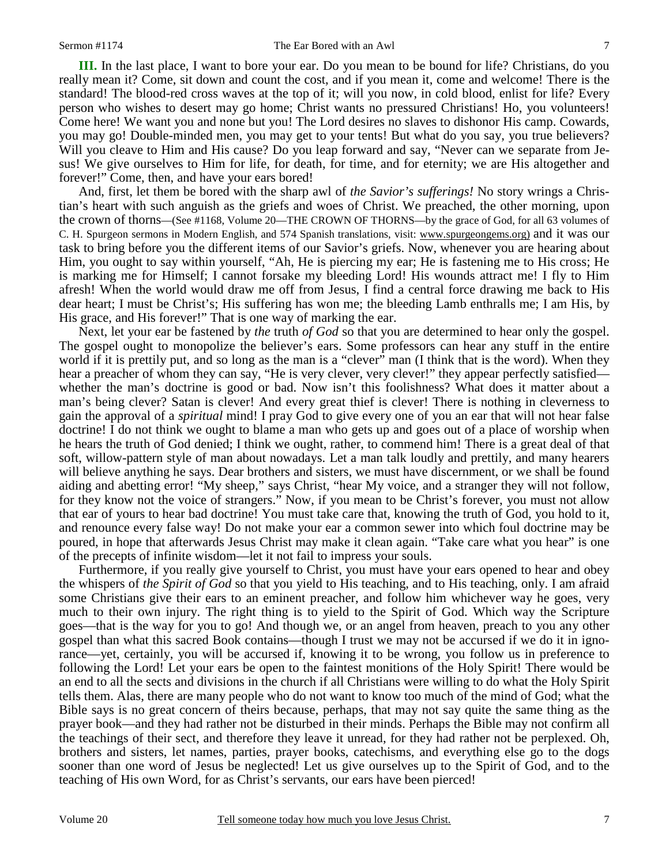**III.** In the last place, I want to bore your ear. Do you mean to be bound for life? Christians, do you really mean it? Come, sit down and count the cost, and if you mean it, come and welcome! There is the standard! The blood-red cross waves at the top of it; will you now, in cold blood, enlist for life? Every person who wishes to desert may go home; Christ wants no pressured Christians! Ho, you volunteers! Come here! We want you and none but you! The Lord desires no slaves to dishonor His camp. Cowards, you may go! Double-minded men, you may get to your tents! But what do you say, you true believers? Will you cleave to Him and His cause? Do you leap forward and say, "Never can we separate from Jesus! We give ourselves to Him for life, for death, for time, and for eternity; we are His altogether and forever!" Come, then, and have your ears bored!

And, first, let them be bored with the sharp awl of *the Savior's sufferings!* No story wrings a Christian's heart with such anguish as the griefs and woes of Christ. We preached, the other morning, upon the crown of thorns—(See #1168, Volume 20—THE CROWN OF THORNS—by the grace of God, for all 63 volumes of C. H. Spurgeon sermons in Modern English, and 574 Spanish translations, visit: www.spurgeongems.org) and it was our task to bring before you the different items of our Savior's griefs. Now, whenever you are hearing about Him, you ought to say within yourself, "Ah, He is piercing my ear; He is fastening me to His cross; He is marking me for Himself; I cannot forsake my bleeding Lord! His wounds attract me! I fly to Him afresh! When the world would draw me off from Jesus, I find a central force drawing me back to His dear heart; I must be Christ's; His suffering has won me; the bleeding Lamb enthralls me; I am His, by His grace, and His forever!" That is one way of marking the ear.

Next, let your ear be fastened by *the* truth *of God* so that you are determined to hear only the gospel. The gospel ought to monopolize the believer's ears. Some professors can hear any stuff in the entire world if it is prettily put, and so long as the man is a "clever" man (I think that is the word). When they hear a preacher of whom they can say, "He is very clever, very clever!" they appear perfectly satisfied whether the man's doctrine is good or bad. Now isn't this foolishness? What does it matter about a man's being clever? Satan is clever! And every great thief is clever! There is nothing in cleverness to gain the approval of a *spiritual* mind! I pray God to give every one of you an ear that will not hear false doctrine! I do not think we ought to blame a man who gets up and goes out of a place of worship when he hears the truth of God denied; I think we ought, rather, to commend him! There is a great deal of that soft, willow-pattern style of man about nowadays. Let a man talk loudly and prettily, and many hearers will believe anything he says. Dear brothers and sisters, we must have discernment, or we shall be found aiding and abetting error! "My sheep," says Christ, "hear My voice, and a stranger they will not follow, for they know not the voice of strangers." Now, if you mean to be Christ's forever, you must not allow that ear of yours to hear bad doctrine! You must take care that, knowing the truth of God, you hold to it, and renounce every false way! Do not make your ear a common sewer into which foul doctrine may be poured, in hope that afterwards Jesus Christ may make it clean again. "Take care what you hear" is one of the precepts of infinite wisdom—let it not fail to impress your souls.

Furthermore, if you really give yourself to Christ, you must have your ears opened to hear and obey the whispers of *the Spirit of God* so that you yield to His teaching, and to His teaching, only. I am afraid some Christians give their ears to an eminent preacher, and follow him whichever way he goes, very much to their own injury. The right thing is to yield to the Spirit of God. Which way the Scripture goes—that is the way for you to go! And though we, or an angel from heaven, preach to you any other gospel than what this sacred Book contains—though I trust we may not be accursed if we do it in ignorance—yet, certainly, you will be accursed if, knowing it to be wrong, you follow us in preference to following the Lord! Let your ears be open to the faintest monitions of the Holy Spirit! There would be an end to all the sects and divisions in the church if all Christians were willing to do what the Holy Spirit tells them. Alas, there are many people who do not want to know too much of the mind of God; what the Bible says is no great concern of theirs because, perhaps, that may not say quite the same thing as the prayer book—and they had rather not be disturbed in their minds. Perhaps the Bible may not confirm all the teachings of their sect, and therefore they leave it unread, for they had rather not be perplexed. Oh, brothers and sisters, let names, parties, prayer books, catechisms, and everything else go to the dogs sooner than one word of Jesus be neglected! Let us give ourselves up to the Spirit of God, and to the teaching of His own Word, for as Christ's servants, our ears have been pierced!